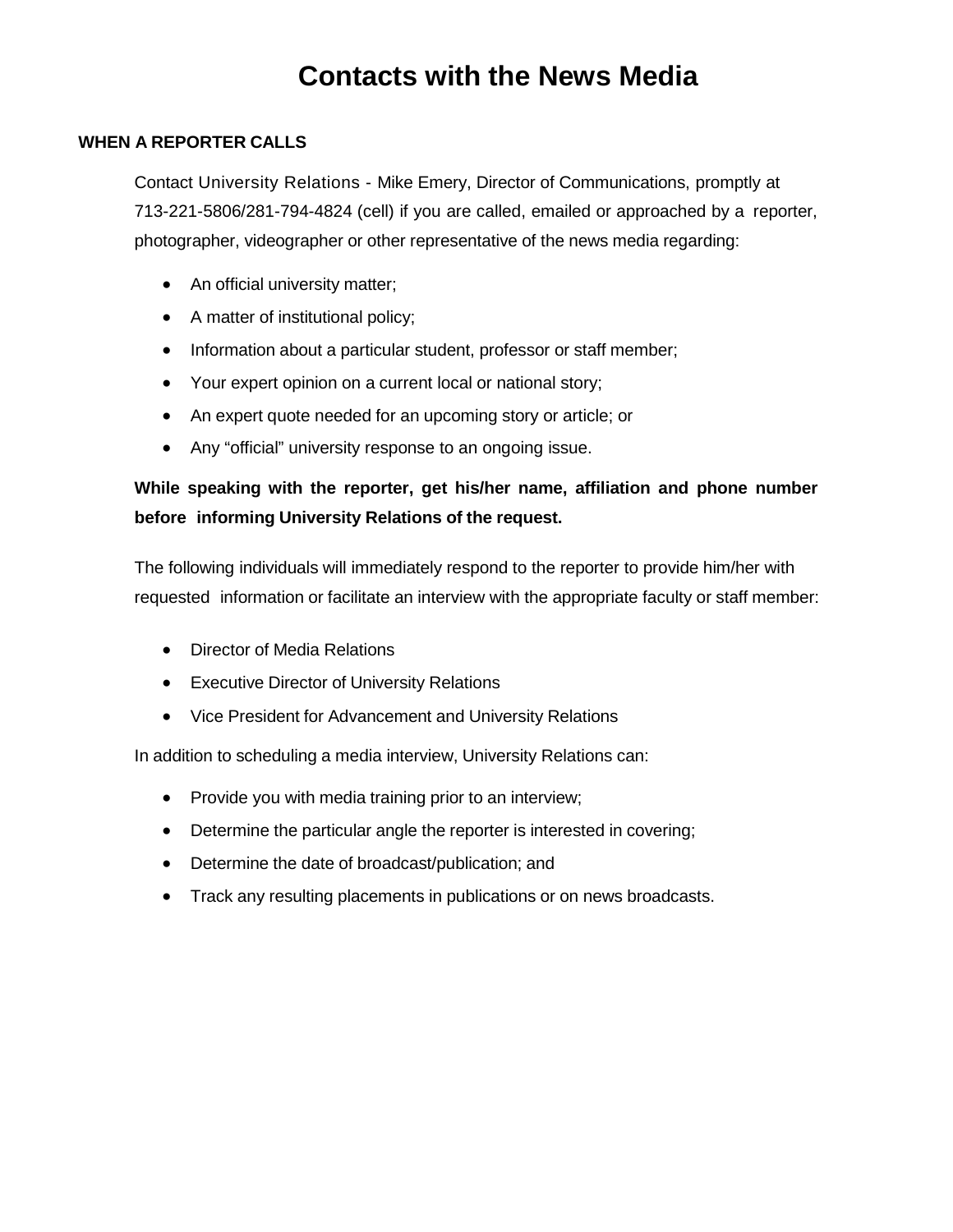#### **WHEN A REPORTER CALLS**

Contact University Relations - Mike Emery, Director of Communications, promptly at 713-221-5806/281-794-4824 (cell) if you are called, emailed or approached by a reporter, photographer, videographer or other representative of the news media regarding:

- An official university matter;
- A matter of institutional policy;
- Information about a particular student, professor or staff member;
- Your expert opinion on a current local or national story;
- An expert quote needed for an upcoming story or article; or
- Any "official" university response to an ongoing issue.

### **While speaking with the reporter, get his/her name, affiliation and phone number before informing University Relations of the request.**

The following individuals will immediately respond to the reporter to provide him/her with requested information or facilitate an interview with the appropriate faculty or staff member:

- Director of Media Relations
- Executive Director of University Relations
- Vice President for Advancement and University Relations

In addition to scheduling a media interview, University Relations can:

- Provide you with media training prior to an interview;
- Determine the particular angle the reporter is interested in covering;
- Determine the date of broadcast/publication; and
- Track any resulting placements in publications or on news broadcasts.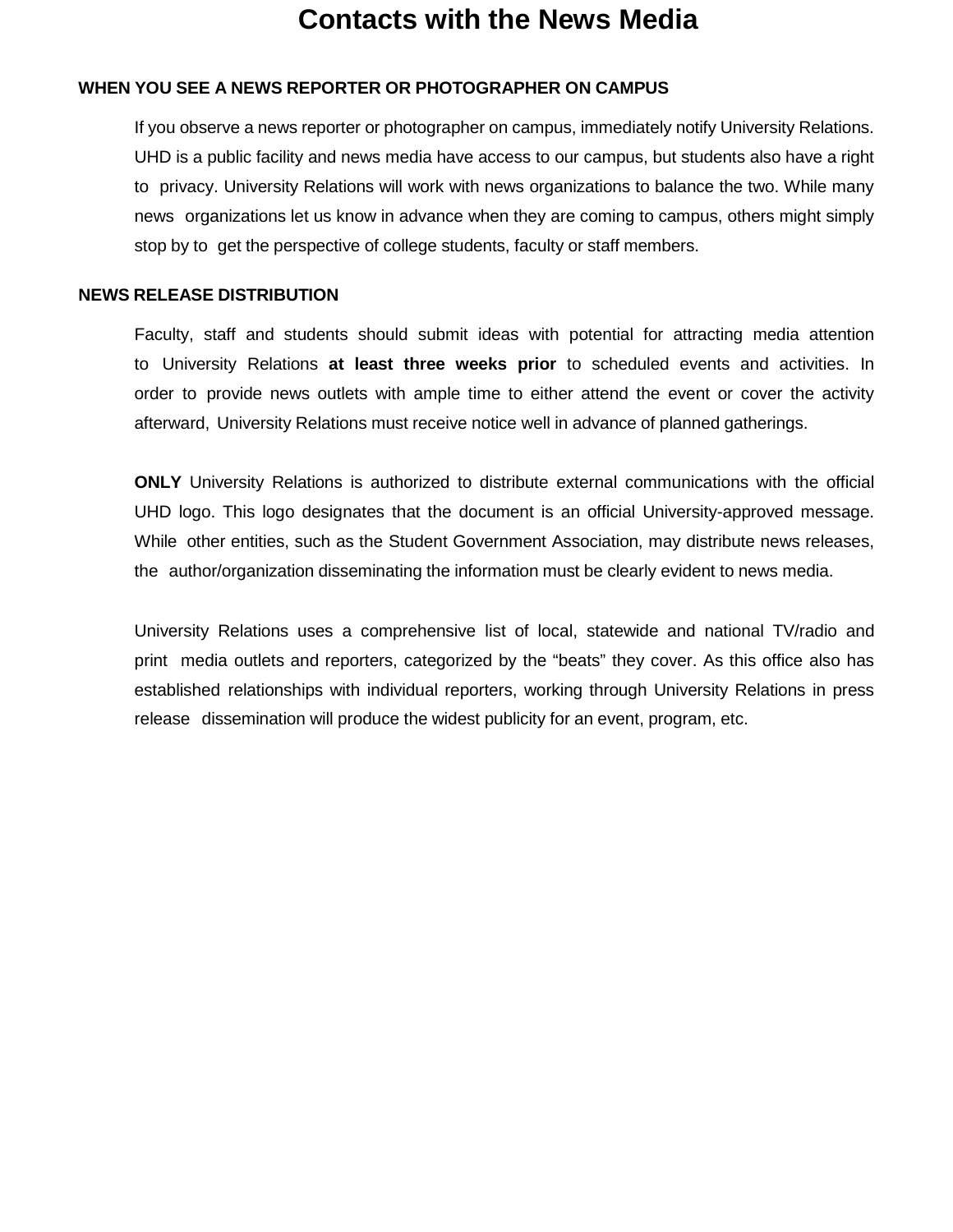### **WHEN YOU SEE A NEWS REPORTER OR PHOTOGRAPHER ON CAMPUS**

If you observe a news reporter or photographer on campus, immediately notify University Relations. UHD is a public facility and news media have access to our campus, but students also have a right to privacy. University Relations will work with news organizations to balance the two. While many news organizations let us know in advance when they are coming to campus, others might simply stop by to get the perspective of college students, faculty or staff members.

#### **NEWS RELEASE DISTRIBUTION**

Faculty, staff and students should submit ideas with potential for attracting media attention to University Relations **at least three weeks prior** to scheduled events and activities. In order to provide news outlets with ample time to either attend the event or cover the activity afterward, University Relations must receive notice well in advance of planned gatherings.

**ONLY** University Relations is authorized to distribute external communications with the official UHD logo. This logo designates that the document is an official University-approved message. While other entities, such as the Student Government Association, may distribute news releases, the author/organization disseminating the information must be clearly evident to news media.

University Relations uses a comprehensive list of local, statewide and national TV/radio and print media outlets and reporters, categorized by the "beats" they cover. As this office also has established relationships with individual reporters, working through University Relations in press release dissemination will produce the widest publicity for an event, program, etc.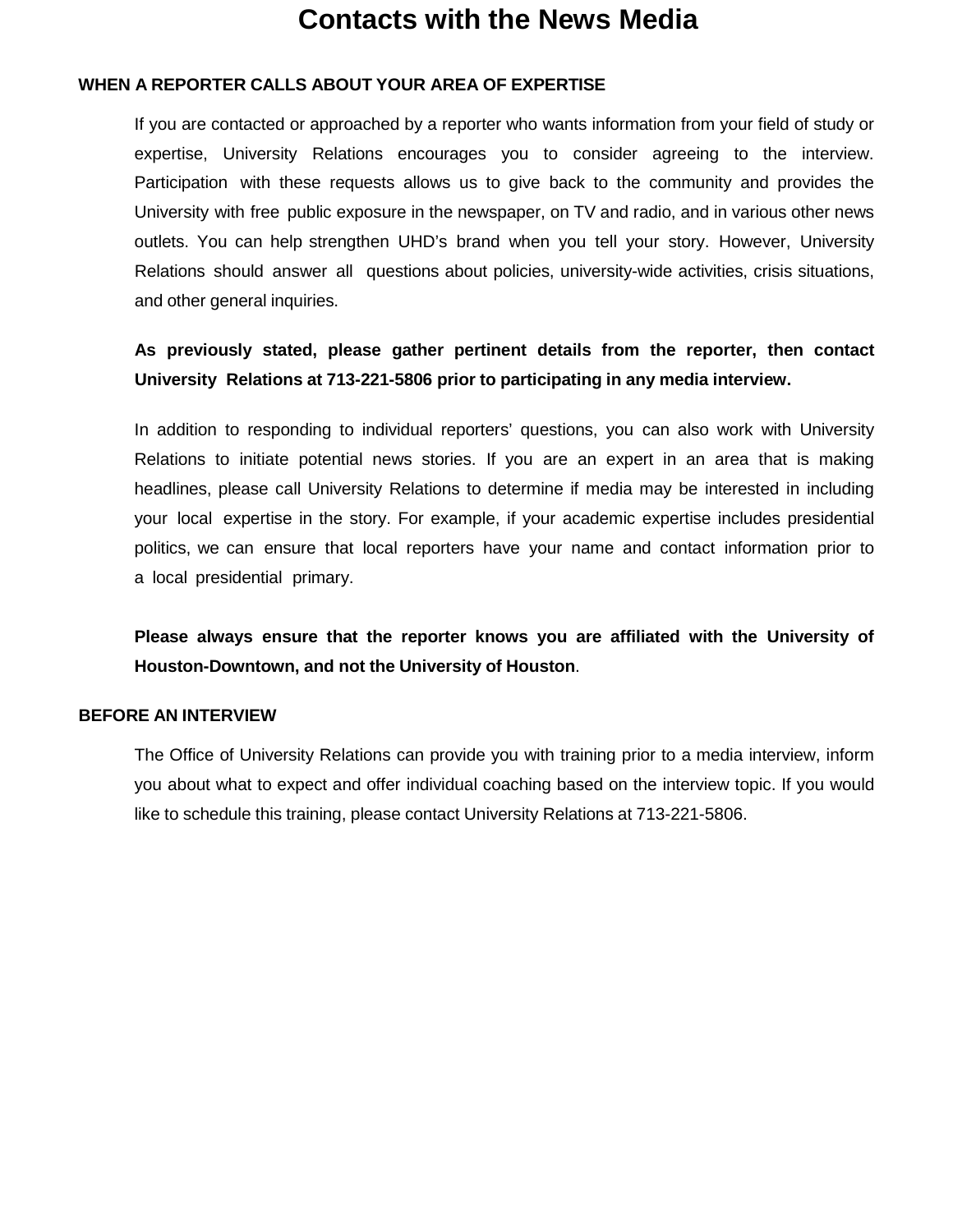### **WHEN A REPORTER CALLS ABOUT YOUR AREA OF EXPERTISE**

If you are contacted or approached by a reporter who wants information from your field of study or expertise, University Relations encourages you to consider agreeing to the interview. Participation with these requests allows us to give back to the community and provides the University with free public exposure in the newspaper, on TV and radio, and in various other news outlets. You can help strengthen UHD's brand when you tell your story. However, University Relations should answer all questions about policies, university-wide activities, crisis situations, and other general inquiries.

### **As previously stated, please gather pertinent details from the reporter, then contact University Relations at 713-221-5806 prior to participating in any media interview.**

In addition to responding to individual reporters' questions, you can also work with University Relations to initiate potential news stories. If you are an expert in an area that is making headlines, please call University Relations to determine if media may be interested in including your local expertise in the story. For example, if your academic expertise includes presidential politics, we can ensure that local reporters have your name and contact information prior to a local presidential primary.

**Please always ensure that the reporter knows you are affiliated with the University of Houston-Downtown, and not the University of Houston**.

#### **BEFORE AN INTERVIEW**

The Office of University Relations can provide you with training prior to a media interview, inform you about what to expect and offer individual coaching based on the interview topic. If you would like to schedule this training, please contact University Relations at 713-221-5806.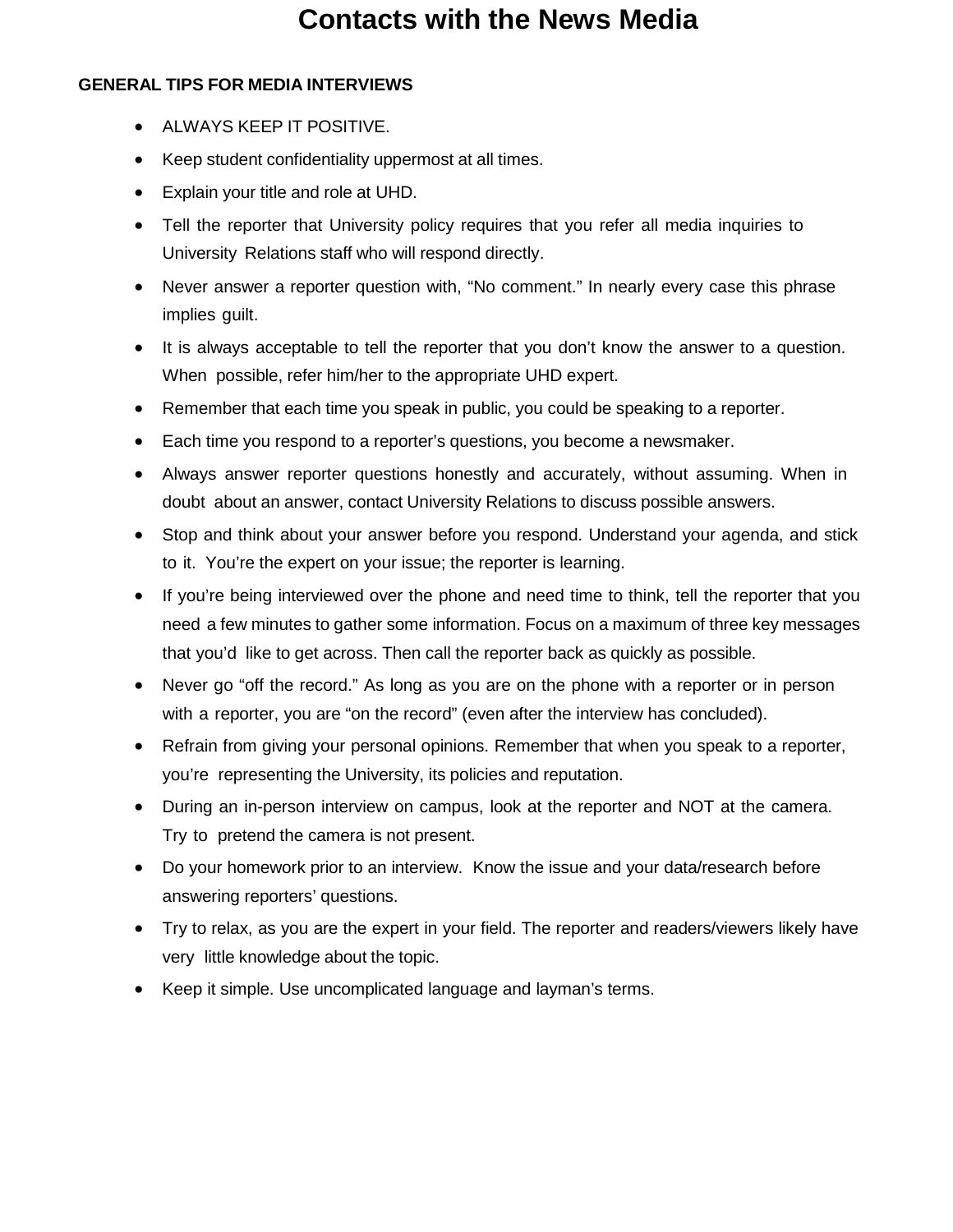### **GENERAL TIPS FOR MEDIA INTERVIEWS**

- ALWAYS KEEP IT POSITIVE.
- Keep student confidentiality uppermost at all times.
- Explain your title and role at UHD.
- Tell the reporter that University policy requires that you refer all media inquiries to University Relations staff who will respond directly.
- Never answer a reporter question with, "No comment." In nearly every case this phrase implies guilt.
- It is always acceptable to tell the reporter that you don't know the answer to a question. When possible, refer him/her to the appropriate UHD expert.
- Remember that each time you speak in public, you could be speaking to a reporter.
- Each time you respond to a reporter's questions, you become a newsmaker.
- Always answer reporter questions honestly and accurately, without assuming. When in doubt about an answer, contact University Relations to discuss possible answers.
- Stop and think about your answer before you respond. Understand your agenda, and stick to it. You're the expert on your issue; the reporter is learning.
- If you're being interviewed over the phone and need time to think, tell the reporter that you need a few minutes to gather some information. Focus on a maximum of three key messages that you'd like to get across. Then call the reporter back as quickly as possible.
- Never go "off the record." As long as you are on the phone with a reporter or in person with a reporter, you are "on the record" (even after the interview has concluded).
- Refrain from giving your personal opinions. Remember that when you speak to a reporter, you're representing the University, its policies and reputation.
- During an in-person interview on campus, look at the reporter and NOT at the camera. Try to pretend the camera is not present.
- Do your homework prior to an interview. Know the issue and your data/research before answering reporters' questions.
- Try to relax, as you are the expert in your field. The reporter and readers/viewers likely have very little knowledge about the topic.
- Keep it simple. Use uncomplicated language and layman's terms.